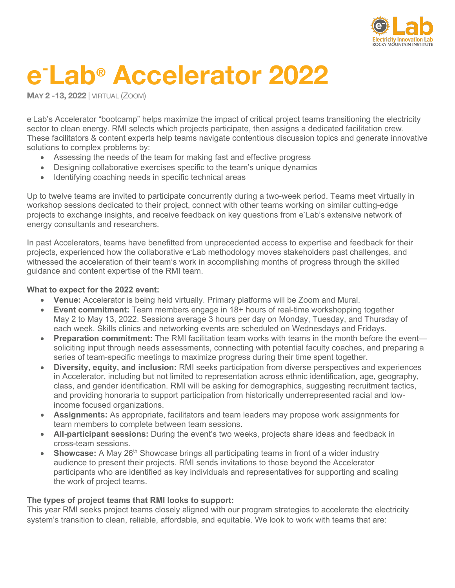

# **e-Lab® Accelerator 2022**

**MAY 2 -13, 2022** | VIRTUAL (ZOOM)

e Lab's Accelerator "bootcamp" helps maximize the impact of critical project teams transitioning the electricity sector to clean energy. RMI selects which projects participate, then assigns a dedicated facilitation crew. These facilitators & content experts help teams navigate contentious discussion topics and generate innovative solutions to complex problems by:

- Assessing the needs of the team for making fast and effective progress
- Designing collaborative exercises specific to the team's unique dynamics
- Identifying coaching needs in specific technical areas

Up to twelve teams are invited to participate concurrently during a two-week period. Teams meet virtually in workshop sessions dedicated to their project, connect with other teams working on similar cutting-edge projects to exchange insights, and receive feedback on key questions from e Lab's extensive network of energy consultants and researchers.

In past Accelerators, teams have benefitted from unprecedented access to expertise and feedback for their projects, experienced how the collaborative e Lab methodology moves stakeholders past challenges, and witnessed the acceleration of their team's work in accomplishing months of progress through the skilled guidance and content expertise of the RMI team.

#### **What to expect for the 2022 event:**

- **Venue:** Accelerator is being held virtually. Primary platforms will be Zoom and Mural.
- **Event commitment:** Team members engage in 18+ hours of real-time workshopping together May 2 to May 13, 2022. Sessions average 3 hours per day on Monday, Tuesday, and Thursday of each week. Skills clinics and networking events are scheduled on Wednesdays and Fridays.
- **Preparation commitment:** The RMI facilitation team works with teams in the month before the event soliciting input through needs assessments, connecting with potential faculty coaches, and preparing a series of team-specific meetings to maximize progress during their time spent together.
- **Diversity, equity, and inclusion:** RMI seeks participation from diverse perspectives and experiences in Accelerator, including but not limited to representation across ethnic identification, age, geography, class, and gender identification. RMI will be asking for demographics, suggesting recruitment tactics, and providing honoraria to support participation from historically underrepresented racial and lowincome focused organizations.
- **Assignments:** As appropriate, facilitators and team leaders may propose work assignments for team members to complete between team sessions.
- **All-participant sessions:** During the event's two weeks, projects share ideas and feedback in cross-team sessions.
- **Showcase:** A May 26<sup>th</sup> Showcase brings all participating teams in front of a wider industry audience to present their projects. RMI sends invitations to those beyond the Accelerator participants who are identified as key individuals and representatives for supporting and scaling the work of project teams.

### **The types of project teams that RMI looks to support:**

This year RMI seeks project teams closely aligned with our program strategies to accelerate the electricity system's transition to clean, reliable, affordable, and equitable. We look to work with teams that are: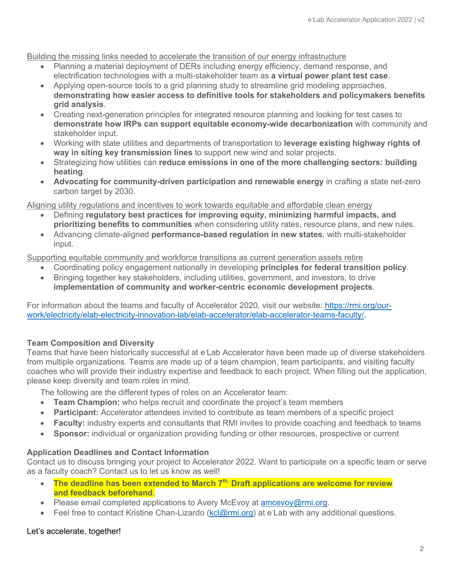Building the missing links needed to accelerate the transition of our energy infrastructure

- Planning a material deployment of DERs including energy efficiency, demand response, and electrification technologies with a multi-stakeholder team as **a virtual power plant test case**.
- Applying open-source tools to a grid planning study to streamline grid modeling approaches, **demonstrating how easier access to definitive tools for stakeholders and policymakers benefits grid analysis**.
- Creating next-generation principles for integrated resource planning and looking for test cases to **demonstrate how IRPs can support equitable economy-wide decarbonization** with community and stakeholder input.
- Working with state utilities and departments of transportation to **leverage existing highway rights of way in siting key transmission lines** to support new wind and solar projects.
- Strategizing how utilities can **reduce emissions in one of the more challenging sectors: building heating**.
- **Advocating for community-driven participation and renewable energy** in crafting a state net-zero carbon target by 2030.

Aligning utility regulations and incentives to work towards equitable and affordable clean energy

- Defining **regulatory best practices for improving equity, minimizing harmful impacts, and prioritizing benefits to communities** when considering utility rates, resource plans, and new rules.
- Advancing climate-aligned **performance-based regulation in new states**, with multi-stakeholder input.

Supporting equitable community and workforce transitions as current generation assets retire

- Coordinating policy engagement nationally in developing **principles for federal transition policy**.
- Bringing together key stakeholders, including utilities, government, and investors, to drive **implementation of community and worker-centric economic development projects**.

For information about the teams and faculty of Accelerator 2020, visit our website: https://rmi.org/ourwork/electricity/elab-electricity-innovation-lab/elab-accelerator/elab-accelerator-teams-faculty/.

# **Team Composition and Diversity**

Teams that have been historically successful at e<sup>-</sup>Lab Accelerator have been made up of diverse stakeholders from multiple organizations. Teams are made up of a team champion, team participants, and visiting faculty coaches who will provide their industry expertise and feedback to each project. When filling out the application, please keep diversity and team roles in mind.

The following are the different types of roles on an Accelerator team:

- **Team Champion:** who helps recruit and coordinate the project's team members
- **Participant:** Accelerator attendees invited to contribute as team members of a specific project
- **Faculty:** industry experts and consultants that RMI invites to provide coaching and feedback to teams
- **Sponsor:** individual or organization providing funding or other resources, prospective or current

### **Application Deadlines and Contact Information**

Contact us to discuss bringing your project to Accelerator 2022. Want to participate on a specific team or serve as a faculty coach? Contact us to let us know as well!

- **The deadline has been extended to March** 7<sup>th.</sup> Draft applications are welcome for review **and feedback beforehand**.
- Please email completed applications to Avery McEvoy at amcevoy  $@rm:org.$
- Feel free to contact Kristine Chan-Lizardo (kcl@rmi.org) at e Lab with any additional questions.

# Let's accelerate, together!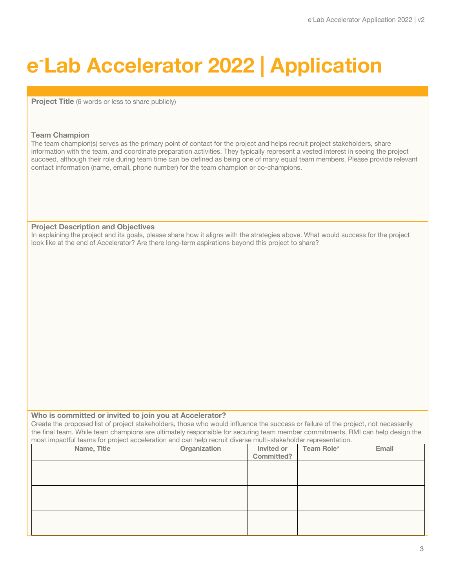# **e-Lab Accelerator 2022 | Application**

**Project Title** (6 words or less to share publicly)

#### **Team Champion**

The team champion(s) serves as the primary point of contact for the project and helps recruit project stakeholders, share information with the team, and coordinate preparation activities. They typically represent a vested interest in seeing the project succeed, although their role during team time can be defined as being one of many equal team members. Please provide relevant contact information (name, email, phone number) for the team champion or co-champions.

#### **Project Description and Objectives**

In explaining the project and its goals, please share how it aligns with the strategies above. What would success for the project look like at the end of Accelerator? Are there long-term aspirations beyond this project to share?

#### **Who is committed or invited to join you at Accelerator?**

Create the proposed list of project stakeholders, those who would influence the success or failure of the project, not necessarily the final team. While team champions are ultimately responsible for securing team member commitments, RMI can help design the most impactful teams for project acceleration and can help recruit diverse multi-stakeholder representation.

| Name, Title | Organization | Invited or | Team Role* | Email |
|-------------|--------------|------------|------------|-------|
|             |              | Committed? |            |       |
|             |              |            |            |       |
|             |              |            |            |       |
|             |              |            |            |       |
|             |              |            |            |       |
|             |              |            |            |       |
|             |              |            |            |       |